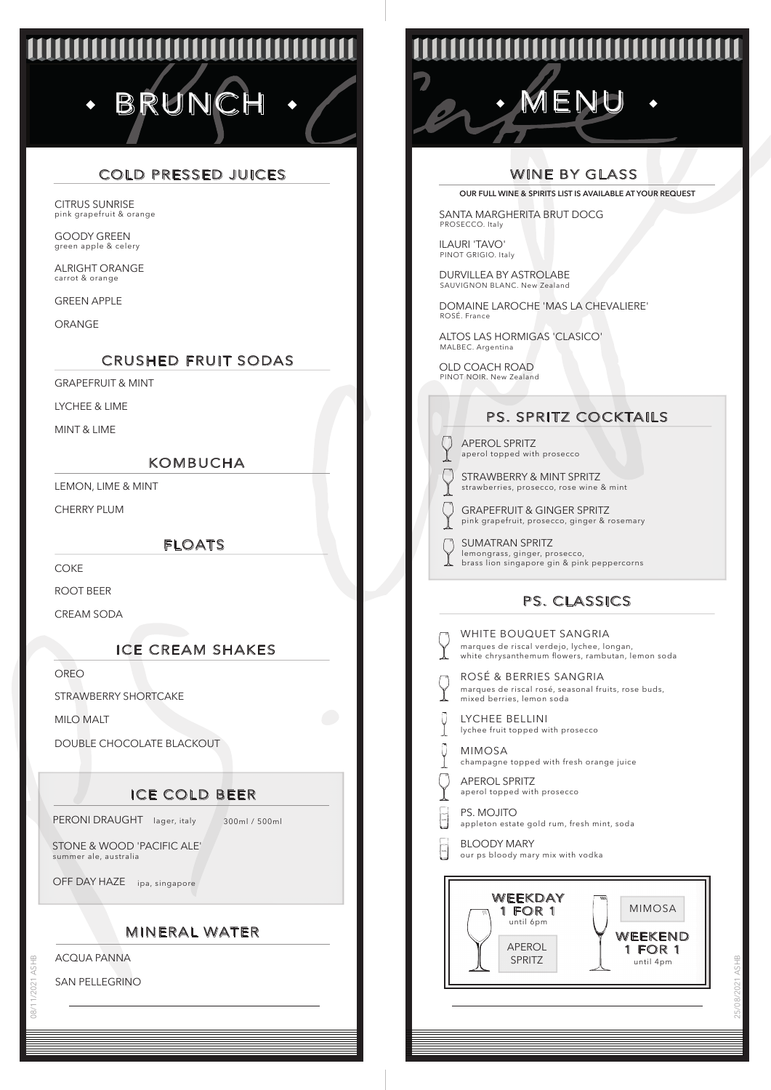# BRUNC

# COLD PRESSED JUICES

pink grapefruit & orange CITRUS SUNRISE

green apple & celery GOODY GREEN

carrot & orange ALRIGHT ORANGE

GREEN APPLE

ORANGE

## CRUSHED FRUIT SODAS

GRAPEFRUIT & MINT

LYCHEE & LIME

MINT & LIME

#### KOMBUCHA

LEMON, LIME & MINT

CHERRY PLUM

FLOATS

**COKE** 

ROOT BEER

CREAM SODA

## ICE CREAM SHAKES

OREO

STRAWBERRY SHORTCAKE

MILO MALT

DOUBLE CHOCOLATE BLACKOUT

## ICE COLD BEER

PERONI DRAUGHT lager, italy 300ml / 500ml

STONE & WOOD 'PACIFIC ALE' summer ale, australia

OFF DAY HAZE ipa, singapore

### MINERAL WATER

ACQUA PANNA

08/11/2021 ASHB

SAN PELLEGRINO

**TITITITITITITITITI** 

MENU

## WINE BY GLASS

**OUR FULL WINE & SPIRITS LIST IS AVAILABLE AT YOUR REQUEST**

SANTA MARGHERITA BRUT DOCG PROSECCO. Italy

ILAURI 'TAVO' PINOT GRIGIO. Italy

DURVILLEA BY ASTROLABE SAUVIGNON BLANC. New Zealand

DOMAINE LAROCHE 'MAS LA CHEVALIERE' ROSÉ. France

ALTOS LAS HORMIGAS 'CLASICO' MALBEC. Argentina

OLD COACH ROAD PINOT NOIR. New Zealand

## PS. SPRITZ COCKTAILS

aperol topped with prosecco APEROL SPRITZ

◯

strawberries, prosecco, rose wine & mint STRAWBERRY & MINT SPRITZ

- pink grapefruit, prosecco, ginger & rosemary GRAPEFRUIT & GINGER SPRITZ
- lemongrass, ginger, prosecco, brass lion singapore gin & pink peppercorns SUMATRAN SPRITZ

# PS. CLASSICS

|   | WHITE BOUQUET SANGRIA<br>marques de riscal verdejo, lychee, lo<br>white chrysanthemum flowers, rambu |
|---|------------------------------------------------------------------------------------------------------|
|   | ROSÉ & BERRIES SANGRIA<br>marques de riscal rosé, seasonal frui<br>mixed berries, lemon soda         |
|   | LYCHEE BELLINI<br>lychee fruit topped with prosecco                                                  |
| l | <b>MIMOSA</b><br>champagne topped with fresh orang-                                                  |
|   | <b>APEROL SPRITZ</b><br>aperol topped with prosecco                                                  |
|   | PS. MOJITO<br>appleton estate gold rum, fresh mint                                                   |
|   | <b>BLOODY MARY</b><br>our ps bloody mary mix with vodka                                              |
|   | WEEKDAY<br>m<br>FOR 1<br>1<br>until 6pm<br><b>APEROL</b><br>SPRITZ                                   |

**SÉ & BERRIES SANGRIA** rques de riscal rosé, seasonal fruits, rose buds, ed berries, lemon soda .<br>rques de riscal verdejo, lychee, longan te chrysanthemum flowers, rambutan, lemon soda LYCHEE BELLINI lychee fruit topped with prosecco



**MOJITO** .<br>aleton estate gold rum, fresh mint, soda



25/08/2021 ASHB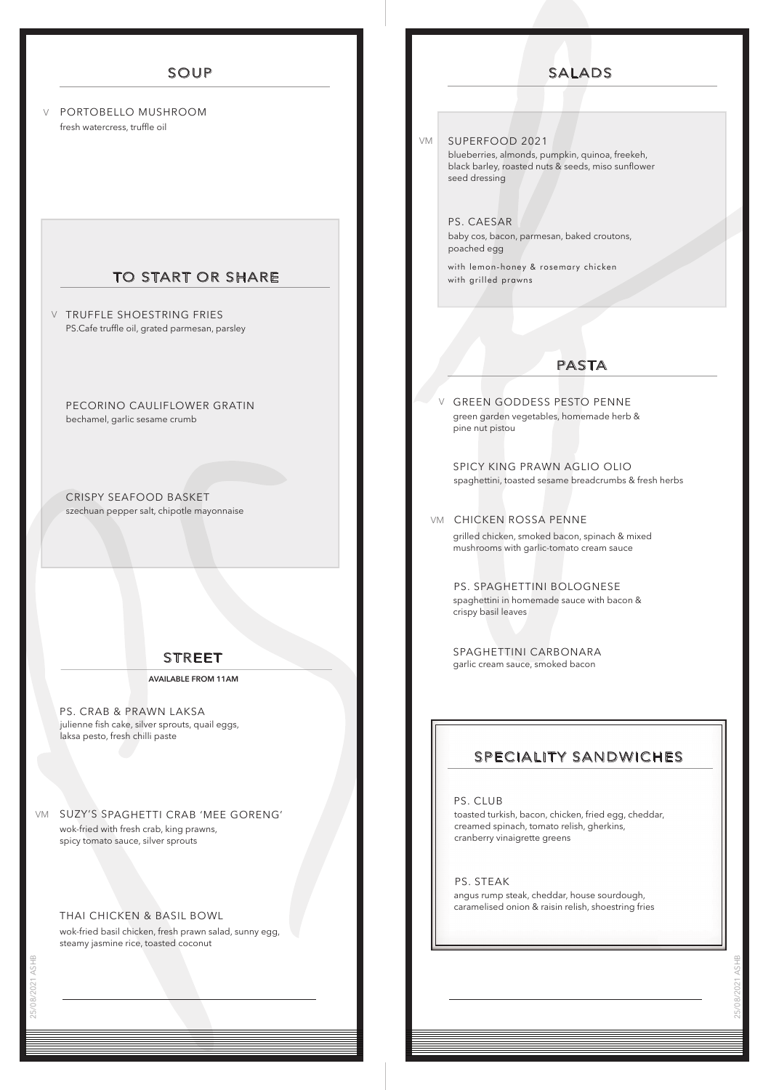#### SOUP

PORTOBELLO MUSHROOM V fresh watercress, truffle oil

#### TO START OR SHARE

**V** TRUFFLE SHOESTRING FRIES PS.Cafe truffle oil, grated parmesan, parsley

PECORINO CAULIFLOWER GRATIN bechamel, garlic sesame crumb

CRISPY SEAFOOD BASKET szechuan pepper salt, chipotle mayonnaise

#### STREET

**AVAILABLE FROM 11AM**

julienne fish cake, silver sprouts, quail eggs, laksa pesto, fresh chilli paste PS. CRAB & PRAWN LAKSA

SUZY'S SPAGHETTI CRAB 'MEE GORENG' VM wok-fried with fresh crab, king prawns, spicy tomato sauce, silver sprouts

#### THAI CHICKEN & BASIL BOWL

wok-fried basil chicken, fresh prawn salad, sunny egg, steamy jasmine rice, toasted coconut

SUPERFOOD 2021 VM

V

blueberries, almonds, pumpkin, quinoa, freekeh, black barley, roasted nuts & seeds, miso sunflower seed dressing

PS. CAESAR baby cos, bacon, parmesan, baked croutons, poached egg

with lemon-honey & rosemary chicken with grilled prawns

#### PASTA

GREEN GODDESS PESTO PENNE green garden vegetables, homemade herb & pine nut pistou

SPICY KING PRAWN AGLIO OLIO spaghettini, toasted sesame breadcrumbs & fresh herbs

#### vm CHICKEN ROSSA PENNE

grilled chicken, smoked bacon, spinach & mixed mushrooms with garlic-tomato cream sauce

PS. SPAGHETTINI BOLOGNESE spaghettini in homemade sauce with bacon & crispy basil leaves

SPAGHETTINI CARBONARA garlic cream sauce, smoked bacon

## SPECIALITY SANDWICHES

PS. CLUB

toasted turkish, bacon, chicken, fried egg, cheddar, creamed spinach, tomato relish, gherkins, cranberry vinaigrette greens

PS. STEAK angus rump steak, cheddar, house sourdough, caramelised onion & raisin relish, shoestring fries

25/08/2021 ASHB

# SALADS